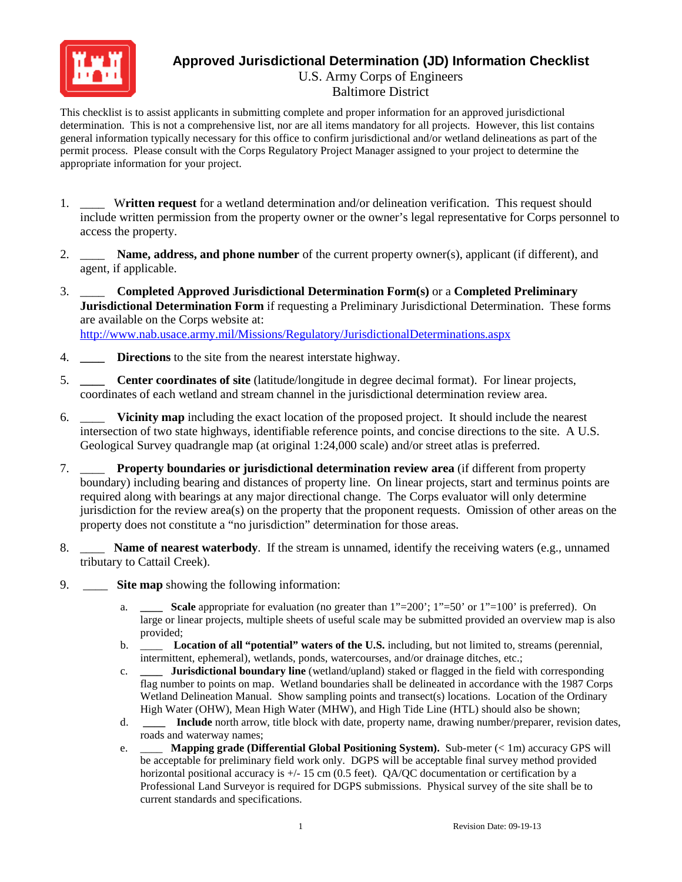

## **Approved Jurisdictional Determination (JD) Information Checklist**

U.S. Army Corps of Engineers Baltimore District

This checklist is to assist applicants in submitting complete and proper information for an approved jurisdictional determination. This is not a comprehensive list, nor are all items mandatory for all projects. However, this list contains general information typically necessary for this office to confirm jurisdictional and/or wetland delineations as part of the permit process. Please consult with the Corps Regulatory Project Manager assigned to your project to determine the appropriate information for your project.

- 1. \_\_\_\_ W**ritten request** for a wetland determination and/or delineation verification. This request should include written permission from the property owner or the owner's legal representative for Corps personnel to access the property.
- 2. \_\_\_\_ **Name, address, and phone number** of the current property owner(s), applicant (if different), and agent, if applicable.
- 3. \_\_\_\_ **Completed Approved Jurisdictional Determination Form(s)** or a **Completed Preliminary Jurisdictional Determination Form** if requesting a Preliminary Jurisdictional Determination. These forms are available on the Corps website at: <http://www.nab.usace.army.mil/Missions/Regulatory/JurisdictionalDeterminations.aspx>
- 4. **\_\_\_\_ Directions** to the site from the nearest interstate highway.
- 5. **\_\_\_\_ Center coordinates of site** (latitude/longitude in degree decimal format). For linear projects, coordinates of each wetland and stream channel in the jurisdictional determination review area.
- 6. \_\_\_\_ **Vicinity map** including the exact location of the proposed project. It should include the nearest intersection of two state highways, identifiable reference points, and concise directions to the site. A U.S. Geological Survey quadrangle map (at original 1:24,000 scale) and/or street atlas is preferred.
- 7. \_\_\_\_ **Property boundaries or jurisdictional determination review area** (if different from property boundary) including bearing and distances of property line. On linear projects, start and terminus points are required along with bearings at any major directional change. The Corps evaluator will only determine jurisdiction for the review area(s) on the property that the proponent requests. Omission of other areas on the property does not constitute a "no jurisdiction" determination for those areas.
- 8. \_\_\_\_ **Name of nearest waterbody**. If the stream is unnamed, identify the receiving waters (e.g., unnamed tributary to Cattail Creek).
- 9. \_\_\_\_ **Site map** showing the following information:
	- a. **\_\_\_\_ Scale** appropriate for evaluation (no greater than 1"=200'; 1"=50' or 1"=100' is preferred). On large or linear projects, multiple sheets of useful scale may be submitted provided an overview map is also provided;
	- b. \_\_\_\_ **Location of all "potential" waters of the U.S.** including, but not limited to, streams (perennial, intermittent, ephemeral), wetlands, ponds, watercourses, and/or drainage ditches, etc.;
	- c. **\_\_\_\_ Jurisdictional boundary line** (wetland/upland) staked or flagged in the field with corresponding flag number to points on map. Wetland boundaries shall be delineated in accordance with the 1987 Corps Wetland Delineation Manual. Show sampling points and transect(s) locations. Location of the Ordinary High Water (OHW), Mean High Water (MHW), and High Tide Line (HTL) should also be shown;
	- d. **\_\_\_\_ Include** north arrow, title block with date, property name, drawing number/preparer, revision dates, roads and waterway names;
	- e. \_\_\_\_ **Mapping grade (Differential Global Positioning System).** Sub-meter (< 1m) accuracy GPS will be acceptable for preliminary field work only. DGPS will be acceptable final survey method provided horizontal positional accuracy is  $+/-15$  cm (0.5 feet). OA/OC documentation or certification by a Professional Land Surveyor is required for DGPS submissions. Physical survey of the site shall be to current standards and specifications.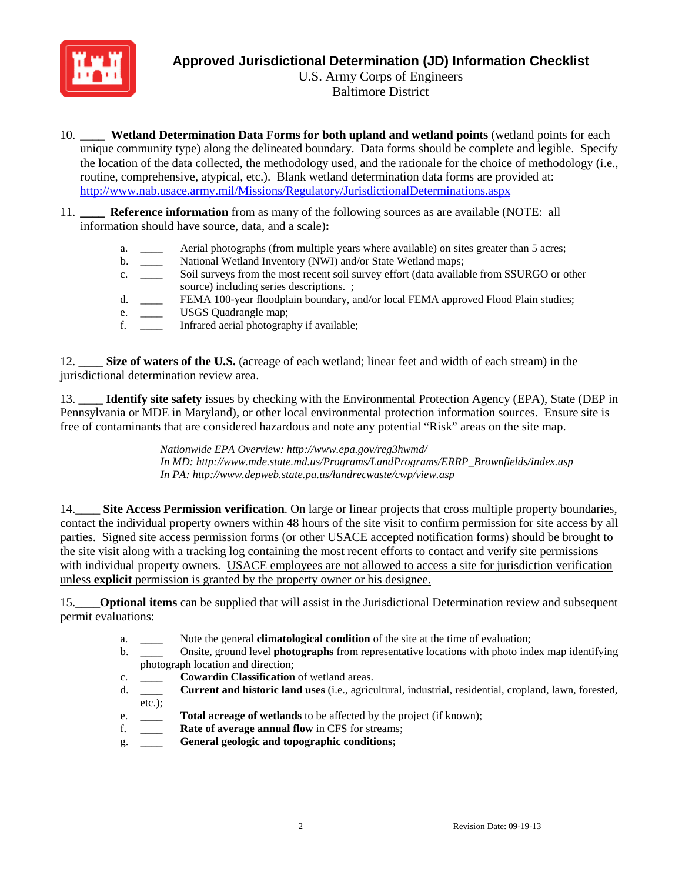

U.S. Army Corps of Engineers Baltimore District

- 10. \_\_\_\_ **Wetland Determination Data Forms for both upland and wetland points** (wetland points for each unique community type) along the delineated boundary. Data forms should be complete and legible. Specify the location of the data collected, the methodology used, and the rationale for the choice of methodology (i.e., routine, comprehensive, atypical, etc.). Blank wetland determination data forms are provided at: <http://www.nab.usace.army.mil/Missions/Regulatory/JurisdictionalDeterminations.aspx>
- 11. **\_\_\_\_ Reference information** from as many of the following sources as are available (NOTE: all information should have source, data, and a scale)**:**
	- a. \_\_\_\_ Aerial photographs (from multiple years where available) on sites greater than 5 acres;
	- b. \_\_\_ National Wetland Inventory (NWI) and/or State Wetland maps;
	- c. \_\_\_\_ Soil surveys from the most recent soil survey effort (data available from SSURGO or other source) including series descriptions. ;
	- d. **EEMA 100-year floodplain boundary, and/or local FEMA approved Flood Plain studies;**
	- e. \_\_\_\_ USGS Quadrangle map;
	- f. \_\_\_\_ Infrared aerial photography if available;

12. \_\_\_\_ **Size of waters of the U.S.** (acreage of each wetland; linear feet and width of each stream) in the jurisdictional determination review area.

13. \_\_\_\_ **Identify site safety** issues by checking with the Environmental Protection Agency (EPA), State (DEP in Pennsylvania or MDE in Maryland), or other local environmental protection information sources. Ensure site is free of contaminants that are considered hazardous and note any potential "Risk" areas on the site map.

> *Nationwide EPA Overview: http://www.epa.gov/reg3hwmd/ In MD: http://www.mde.state.md.us/Programs/LandPrograms/ERRP\_Brownfields/index.asp In PA: http://www.depweb.state.pa.us/landrecwaste/cwp/view.asp*

14. **Site Access Permission verification**. On large or linear projects that cross multiple property boundaries, contact the individual property owners within 48 hours of the site visit to confirm permission for site access by all parties. Signed site access permission forms (or other USACE accepted notification forms) should be brought to the site visit along with a tracking log containing the most recent efforts to contact and verify site permissions with individual property owners. USACE employees are not allowed to access a site for jurisdiction verification unless **explicit** permission is granted by the property owner or his designee.

15.\_\_\_\_**Optional items** can be supplied that will assist in the Jurisdictional Determination review and subsequent permit evaluations:

- a. \_\_\_\_ Note the general **climatological condition** of the site at the time of evaluation;
- b. \_\_\_\_ Onsite, ground level **photographs** from representative locations with photo index map identifying photograph location and direction;
- c. \_\_\_\_ **Cowardin Classification** of wetland areas.
- d. **\_\_\_\_ Current and historic land uses** (i.e., agricultural, industrial, residential, cropland, lawn, forested, etc.);
- e. **\_\_\_\_ Total acreage of wetlands** to be affected by the project (if known);
- f. **\_\_\_\_ Rate of average annual flow** in CFS for streams;
- g. \_\_\_\_ **General geologic and topographic conditions;**